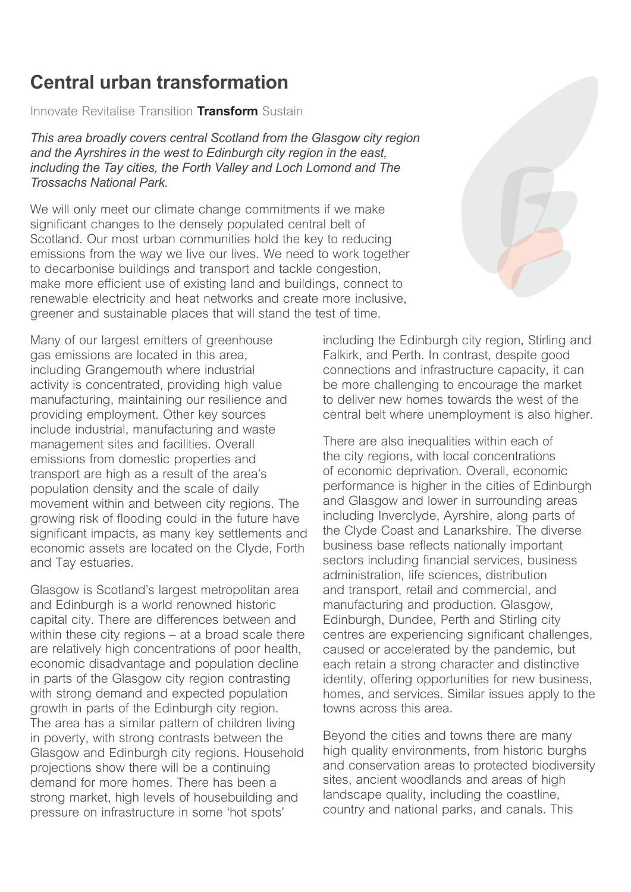## **Central urban transformation**

*Innovate Revitalise Transition* **Transform** *Sustain*

*This area broadly covers central Scotland from the Glasgow city region and the Ayrshires in the west to Edinburgh city region in the east, including the Tay cities, the Forth Valley and Loch Lomond and The Trossachs National Park.*

*We will only meet our climate change commitments if we make significant changes to the densely populated central belt of*  Scotland. Our most urban communities hold the key to reducing *emissions from the way we live our lives. We need to work together to decarbonise buildings and transport and tackle congestion, make more efficient use of existing land and buildings, connect to renewable electricity and heat networks and create more inclusive, greener and sustainable places that will stand the test of time.*

*Many of our largest emitters of greenhouse gas emissions are located in this area, including Grangemouth where industrial activity is concentrated, providing high value manufacturing, maintaining our resilience and providing employment. Other key sources include industrial, manufacturing and waste management sites and facilities. Overall emissions from domestic properties and transport are high as a result of the area's population density and the scale of daily movement within and between city regions. The growing risk of flooding could in the future have significant impacts, as many key settlements and economic assets are located on the Clyde, Forth and Tay estuaries.*

*Glasgow is Scotland's largest metropolitan area and Edinburgh is a world renowned historic capital city. There are differences between and within these city regions – at a broad scale there are relatively high concentrations of poor health, economic disadvantage and population decline in parts of the Glasgow city region contrasting with strong demand and expected population growth in parts of the Edinburgh city region. The area has a similar pattern of children living in poverty, with strong contrasts between the Glasgow and Edinburgh city regions. Household projections show there will be a continuing demand for more homes. There has been a strong market, high levels of housebuilding and pressure on infrastructure in some 'hot spots'* 



*including the Edinburgh city region, Stirling and Falkirk, and Perth. In contrast, despite good connections and infrastructure capacity, it can be more challenging to encourage the market to deliver new homes towards the west of the central belt where unemployment is also higher.*

*There are also inequalities within each of the city regions, with local concentrations of economic deprivation. Overall, economic performance is higher in the cities of Edinburgh and Glasgow and lower in surrounding areas including Inverclyde, Ayrshire, along parts of the Clyde Coast and Lanarkshire. The diverse business base reflects nationally important sectors including financial services, business administration, life sciences, distribution and transport, retail and commercial, and manufacturing and production. Glasgow, Edinburgh, Dundee, Perth and Stirling city centres are experiencing significant challenges, caused or accelerated by the pandemic, but each retain a strong character and distinctive identity, offering opportunities for new business, homes, and services. Similar issues apply to the towns across this area.*

*Beyond the cities and towns there are many high quality environments, from historic burghs and conservation areas to protected biodiversity sites, ancient woodlands and areas of high landscape quality, including the coastline, country and national parks, and canals. This*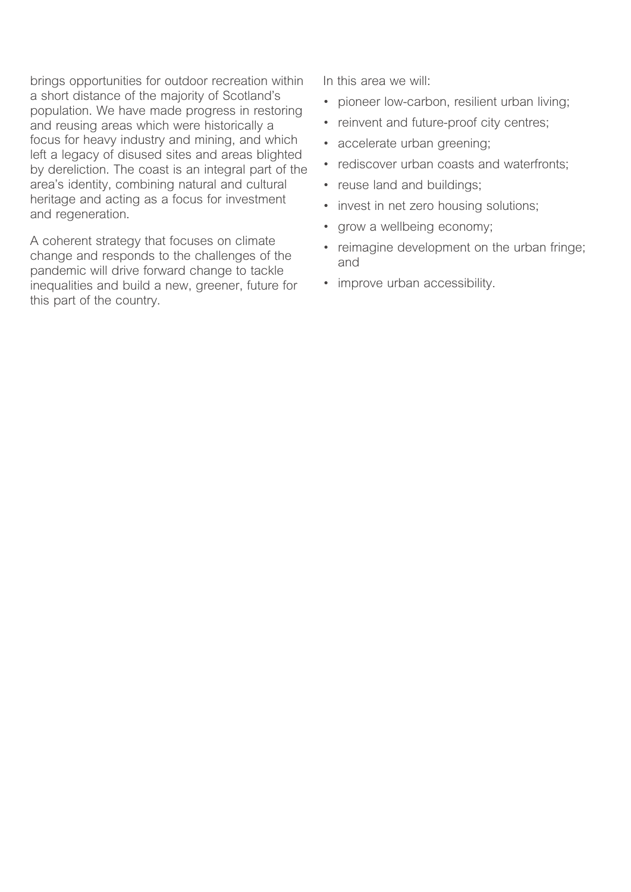*brings opportunities for outdoor recreation within a short distance of the majority of Scotland's population. We have made progress in restoring and reusing areas which were historically a focus for heavy industry and mining, and which left a legacy of disused sites and areas blighted by dereliction. The coast is an integral part of the area's identity, combining natural and cultural heritage and acting as a focus for investment and regeneration.*

*A coherent strategy that focuses on climate change and responds to the challenges of the pandemic will drive forward change to tackle inequalities and build a new, greener, future for this part of the country.*

*In this area we will:*

- *• pioneer low-carbon, resilient urban living;*
- *• reinvent and future-proof city centres;*
- *• accelerate urban greening;*
- *• rediscover urban coasts and waterfronts;*
- *• reuse land and buildings;*
- *• invest in net zero housing solutions;*
- *• grow a wellbeing economy;*
- *• reimagine development on the urban fringe; and*
- *• improve urban accessibility.*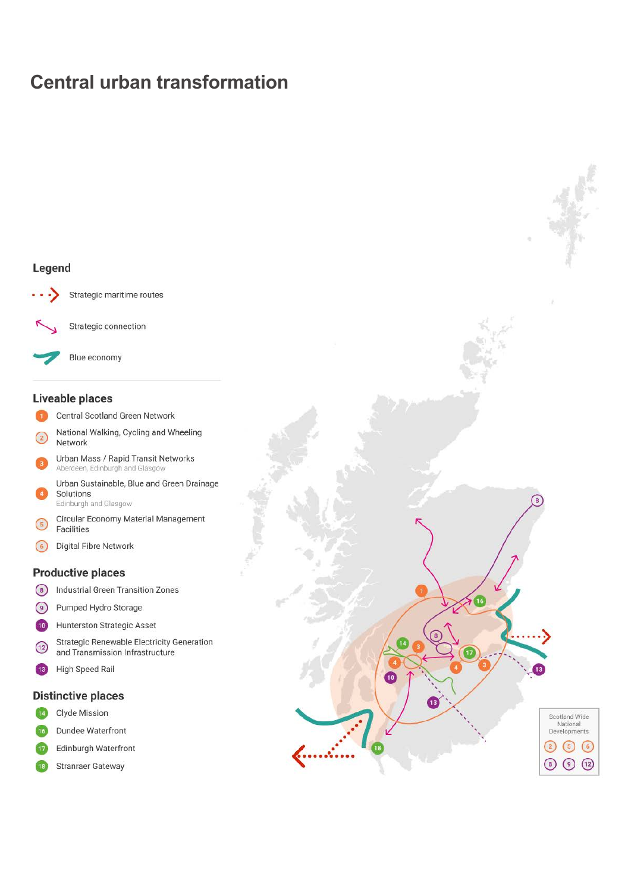## **Central urban transformation**

## Legend



Strategic maritime routes

Strategic connection



Blue economy

### **Liveable places**

- Central Scotland Green Network
- National Walking, Cycling and Wheeling  $\binom{2}{2}$ Network
- Urban Mass / Rapid Transit Networks Aberdeen, Edinburgh and Glasgow
- Urban Sustainable, Blue and Green Drainage Solutions Edinburgh and Glasgow
- Circular Economy Material Management  $\left(5\right)$ Facilities
- Digital Fibre Network  $\odot$

### **Productive places**

- $\circ$ Industrial Green Transition Zones
- $\circledcirc$ Pumped Hydro Storage
- Hunterston Strategic Asset  $(10)$
- **Strategic Renewable Electricity Generation**  $\sqrt{12}$ and Transmission Infrastructure
- **High Speed Rail**  $\overline{13}$

#### **Distinctive places**

- Clyde Mission  $\overline{14}$
- $\sqrt{16}$ Dundee Waterfront
- Edinburgh Waterfront  $\overline{17}$
- Stranraer Gateway  $\sqrt{18}$

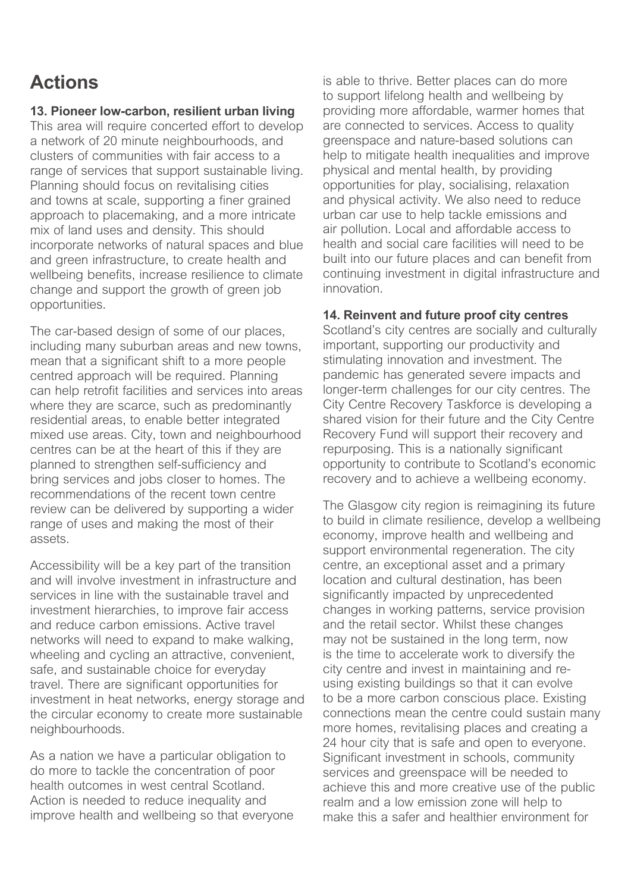# **Actions**

## **13. Pioneer low-carbon, resilient urban living**

*This area will require concerted effort to develop a network of 20 minute neighbourhoods, and clusters of communities with fair access to a range of services that support sustainable living. Planning should focus on revitalising cities and towns at scale, supporting a finer grained approach to placemaking, and a more intricate mix of land uses and density. This should incorporate networks of natural spaces and blue and green infrastructure, to create health and wellbeing benefits, increase resilience to climate change and support the growth of green job opportunities.*

*The car-based design of some of our places, including many suburban areas and new towns, mean that a significant shift to a more people centred approach will be required. Planning can help retrofit facilities and services into areas where they are scarce, such as predominantly residential areas, to enable better integrated mixed use areas. City, town and neighbourhood centres can be at the heart of this if they are planned to strengthen self-sufficiency and bring services and jobs closer to homes. The recommendations of the recent town centre review can be delivered by supporting a wider range of uses and making the most of their assets.*

*Accessibility will be a key part of the transition and will involve investment in infrastructure and services in line with the sustainable travel and investment hierarchies, to improve fair access and reduce carbon emissions. Active travel networks will need to expand to make walking, wheeling and cycling an attractive, convenient, safe, and sustainable choice for everyday travel. There are significant opportunities for investment in heat networks, energy storage and the circular economy to create more sustainable neighbourhoods.*

*As a nation we have a particular obligation to do more to tackle the concentration of poor health outcomes in west central Scotland. Action is needed to reduce inequality and improve health and wellbeing so that everyone*  *is able to thrive. Better places can do more to support lifelong health and wellbeing by providing more affordable, warmer homes that are connected to services. Access to quality greenspace and nature-based solutions can help to mitigate health inequalities and improve physical and mental health, by providing opportunities for play, socialising, relaxation and physical activity. We also need to reduce urban car use to help tackle emissions and air pollution. Local and affordable access to health and social care facilities will need to be built into our future places and can benefit from continuing investment in digital infrastructure and innovation.*

## **14. Reinvent and future proof city centres**

*Scotland's city centres are socially and culturally important, supporting our productivity and stimulating innovation and investment. The pandemic has generated severe impacts and longer-term challenges for our city centres. The City Centre Recovery Taskforce is developing a shared vision for their future and the City Centre Recovery Fund will support their recovery and repurposing. This is a nationally significant opportunity to contribute to Scotland's economic recovery and to achieve a wellbeing economy.*

*The Glasgow city region is reimagining its future to build in climate resilience, develop a wellbeing economy, improve health and wellbeing and support environmental regeneration. The city centre, an exceptional asset and a primary location and cultural destination, has been significantly impacted by unprecedented changes in working patterns, service provision and the retail sector. Whilst these changes may not be sustained in the long term, now is the time to accelerate work to diversify the city centre and invest in maintaining and reusing existing buildings so that it can evolve to be a more carbon conscious place. Existing connections mean the centre could sustain many more homes, revitalising places and creating a 24 hour city that is safe and open to everyone. Significant investment in schools, community services and greenspace will be needed to achieve this and more creative use of the public realm and a low emission zone will help to make this a safer and healthier environment for*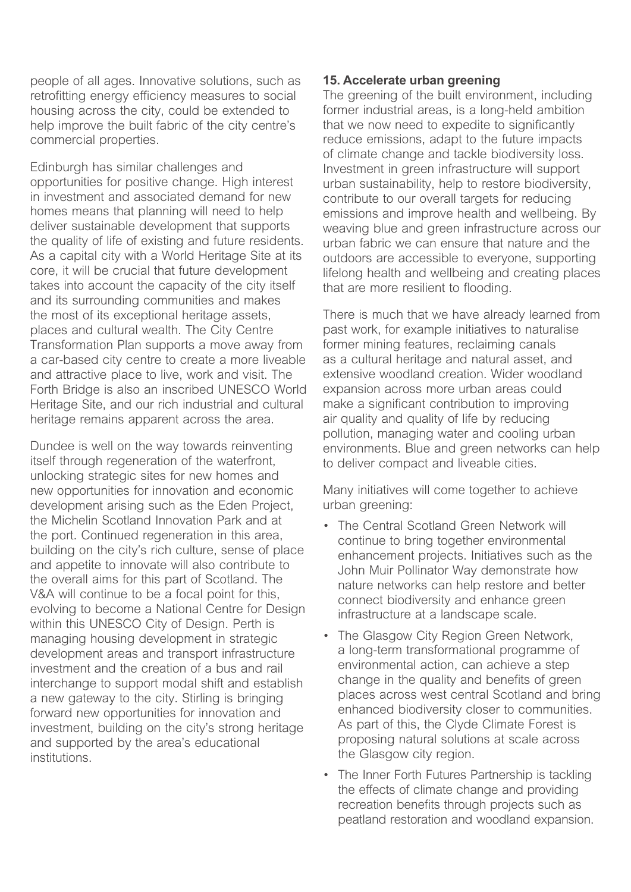*people of all ages. Innovative solutions, such as retrofitting energy efficiency measures to social housing across the city, could be extended to help improve the built fabric of the city centre's commercial properties.*

*Edinburgh has similar challenges and opportunities for positive change. High interest in investment and associated demand for new homes means that planning will need to help deliver sustainable development that supports the quality of life of existing and future residents. As a capital city with a World Heritage Site at its core, it will be crucial that future development takes into account the capacity of the city itself and its surrounding communities and makes the most of its exceptional heritage assets, places and cultural wealth. The City Centre Transformation Plan supports a move away from a car-based city centre to create a more liveable and attractive place to live, work and visit. The Forth Bridge is also an inscribed UNESCO World Heritage Site, and our rich industrial and cultural heritage remains apparent across the area.*

*Dundee is well on the way towards reinventing itself through regeneration of the waterfront, unlocking strategic sites for new homes and new opportunities for innovation and economic development arising such as the Eden Project, the Michelin Scotland Innovation Park and at the port. Continued regeneration in this area, building on the city's rich culture, sense of place and appetite to innovate will also contribute to the overall aims for this part of Scotland. The V&A will continue to be a focal point for this, evolving to become a National Centre for Design within this UNESCO City of Design. Perth is managing housing development in strategic development areas and transport infrastructure investment and the creation of a bus and rail interchange to support modal shift and establish a new gateway to the city. Stirling is bringing forward new opportunities for innovation and investment, building on the city's strong heritage and supported by the area's educational institutions.*

## **15. Accelerate urban greening**

*The greening of the built environment, including former industrial areas, is a long-held ambition that we now need to expedite to significantly reduce emissions, adapt to the future impacts of climate change and tackle biodiversity loss. Investment in green infrastructure will support urban sustainability, help to restore biodiversity, contribute to our overall targets for reducing emissions and improve health and wellbeing. By weaving blue and green infrastructure across our urban fabric we can ensure that nature and the outdoors are accessible to everyone, supporting lifelong health and wellbeing and creating places that are more resilient to flooding.*

*There is much that we have already learned from past work, for example initiatives to naturalise former mining features, reclaiming canals as a cultural heritage and natural asset, and extensive woodland creation. Wider woodland expansion across more urban areas could make a significant contribution to improving air quality and quality of life by reducing pollution, managing water and cooling urban environments. Blue and green networks can help to deliver compact and liveable cities.*

*Many initiatives will come together to achieve urban greening:*

- *• The Central Scotland Green Network will continue to bring together environmental enhancement projects. Initiatives such as the John Muir Pollinator Way demonstrate how nature networks can help restore and better connect biodiversity and enhance green infrastructure at a landscape scale.*
- *• The Glasgow City Region Green Network, a long-term transformational programme of environmental action, can achieve a step change in the quality and benefits of green places across west central Scotland and bring enhanced biodiversity closer to communities. As part of this, the Clyde Climate Forest is proposing natural solutions at scale across the Glasgow city region.*
- *• The Inner Forth Futures Partnership is tackling the effects of climate change and providing recreation benefits through projects such as peatland restoration and woodland expansion.*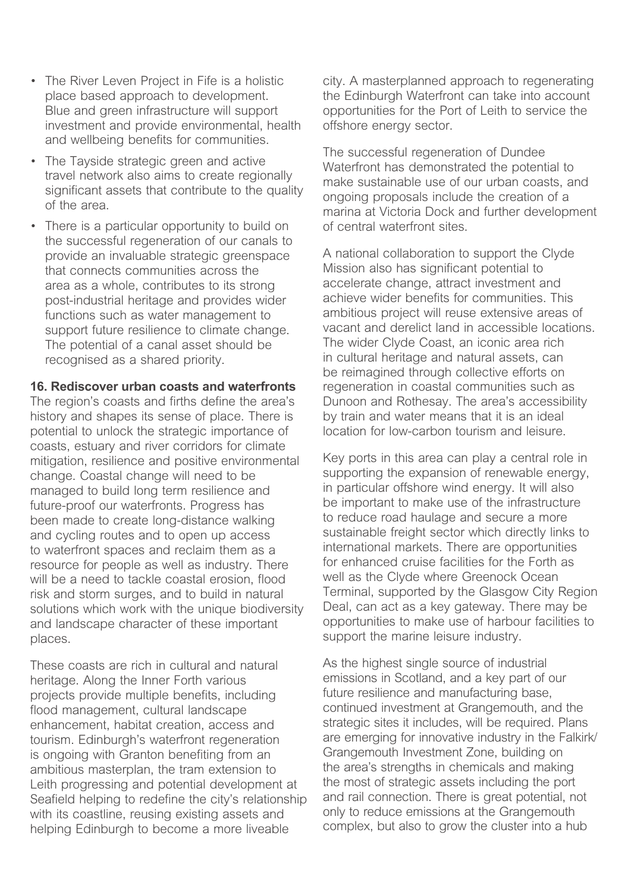- *• The River Leven Project in Fife is a holistic place based approach to development. Blue and green infrastructure will support investment and provide environmental, health and wellbeing benefits for communities.*
- *• The Tayside strategic green and active travel network also aims to create regionally significant assets that contribute to the quality of the area.*
- *• There is a particular opportunity to build on the successful regeneration of our canals to provide an invaluable strategic greenspace that connects communities across the area as a whole, contributes to its strong post-industrial heritage and provides wider functions such as water management to support future resilience to climate change. The potential of a canal asset should be recognised as a shared priority.*

**16. Rediscover urban coasts and waterfronts**

*The region's coasts and firths define the area's history and shapes its sense of place. There is potential to unlock the strategic importance of coasts, estuary and river corridors for climate mitigation, resilience and positive environmental change. Coastal change will need to be managed to build long term resilience and future-proof our waterfronts. Progress has been made to create long-distance walking and cycling routes and to open up access to waterfront spaces and reclaim them as a resource for people as well as industry. There will be a need to tackle coastal erosion, flood risk and storm surges, and to build in natural solutions which work with the unique biodiversity and landscape character of these important places.*

*These coasts are rich in cultural and natural heritage. Along the Inner Forth various projects provide multiple benefits, including flood management, cultural landscape enhancement, habitat creation, access and tourism. Edinburgh's waterfront regeneration is ongoing with Granton benefiting from an ambitious masterplan, the tram extension to Leith progressing and potential development at Seafield helping to redefine the city's relationship with its coastline, reusing existing assets and helping Edinburgh to become a more liveable* 

*city. A masterplanned approach to regenerating the Edinburgh Waterfront can take into account opportunities for the Port of Leith to service the offshore energy sector.*

*The successful regeneration of Dundee Waterfront has demonstrated the potential to make sustainable use of our urban coasts, and ongoing proposals include the creation of a marina at Victoria Dock and further development of central waterfront sites.*

*A national collaboration to support the Clyde Mission also has significant potential to accelerate change, attract investment and achieve wider benefits for communities. This ambitious project will reuse extensive areas of vacant and derelict land in accessible locations. The wider Clyde Coast, an iconic area rich in cultural heritage and natural assets, can be reimagined through collective efforts on regeneration in coastal communities such as Dunoon and Rothesay. The area's accessibility by train and water means that it is an ideal location for low-carbon tourism and leisure.*

*Key ports in this area can play a central role in supporting the expansion of renewable energy, in particular offshore wind energy. It will also be important to make use of the infrastructure to reduce road haulage and secure a more sustainable freight sector which directly links to international markets. There are opportunities for enhanced cruise facilities for the Forth as well as the Clyde where Greenock Ocean Terminal, supported by the Glasgow City Region Deal, can act as a key gateway. There may be opportunities to make use of harbour facilities to support the marine leisure industry.*

*As the highest single source of industrial emissions in Scotland, and a key part of our future resilience and manufacturing base, continued investment at Grangemouth, and the strategic sites it includes, will be required. Plans are emerging for innovative industry in the Falkirk/ Grangemouth Investment Zone, building on the area's strengths in chemicals and making the most of strategic assets including the port and rail connection. There is great potential, not only to reduce emissions at the Grangemouth complex, but also to grow the cluster into a hub*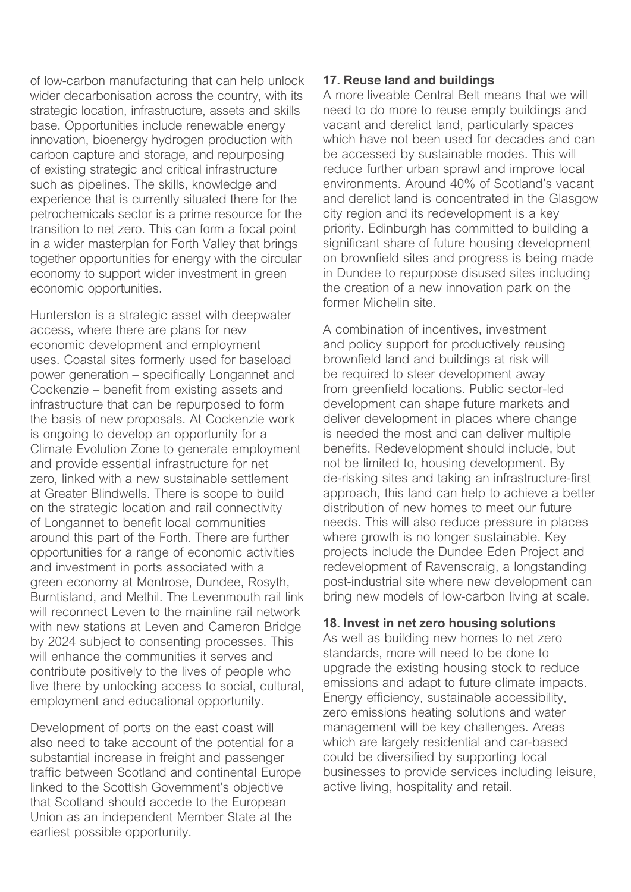*of low-carbon manufacturing that can help unlock wider decarbonisation across the country, with its strategic location, infrastructure, assets and skills base. Opportunities include renewable energy innovation, bioenergy hydrogen production with carbon capture and storage, and repurposing of existing strategic and critical infrastructure such as pipelines. The skills, knowledge and experience that is currently situated there for the petrochemicals sector is a prime resource for the transition to net zero. This can form a focal point in a wider masterplan for Forth Valley that brings together opportunities for energy with the circular economy to support wider investment in green economic opportunities.*

*Hunterston is a strategic asset with deepwater access, where there are plans for new economic development and employment uses. Coastal sites formerly used for baseload power generation – specifically Longannet and Cockenzie – benefit from existing assets and infrastructure that can be repurposed to form the basis of new proposals. At Cockenzie work is ongoing to develop an opportunity for a Climate Evolution Zone to generate employment and provide essential infrastructure for net zero, linked with a new sustainable settlement at Greater Blindwells. There is scope to build on the strategic location and rail connectivity of Longannet to benefit local communities around this part of the Forth. There are further opportunities for a range of economic activities and investment in ports associated with a green economy at Montrose, Dundee, Rosyth, Burntisland, and Methil. The Levenmouth rail link will reconnect Leven to the mainline rail network with new stations at Leven and Cameron Bridge by 2024 subject to consenting processes. This will enhance the communities it serves and contribute positively to the lives of people who live there by unlocking access to social, cultural, employment and educational opportunity.*

*Development of ports on the east coast will also need to take account of the potential for a substantial increase in freight and passenger traffic between Scotland and continental Europe linked to the Scottish Government's objective that Scotland should accede to the European Union as an independent Member State at the earliest possible opportunity.*

## **17. Reuse land and buildings**

*A more liveable Central Belt means that we will need to do more to reuse empty buildings and vacant and derelict land, particularly spaces which have not been used for decades and can be accessed by sustainable modes. This will reduce further urban sprawl and improve local environments. Around 40% of Scotland's vacant and derelict land is concentrated in the Glasgow city region and its redevelopment is a key priority. Edinburgh has committed to building a significant share of future housing development on brownfield sites and progress is being made in Dundee to repurpose disused sites including the creation of a new innovation park on the former Michelin site.*

*A combination of incentives, investment and policy support for productively reusing brownfield land and buildings at risk will be required to steer development away from greenfield locations. Public sector-led development can shape future markets and deliver development in places where change is needed the most and can deliver multiple benefits. Redevelopment should include, but not be limited to, housing development. By de-risking sites and taking an infrastructure-first approach, this land can help to achieve a better distribution of new homes to meet our future needs. This will also reduce pressure in places where growth is no longer sustainable. Key projects include the Dundee Eden Project and redevelopment of Ravenscraig, a longstanding post-industrial site where new development can bring new models of low-carbon living at scale.*

### **18. Invest in net zero housing solutions**

*As well as building new homes to net zero standards, more will need to be done to upgrade the existing housing stock to reduce emissions and adapt to future climate impacts. Energy efficiency, sustainable accessibility, zero emissions heating solutions and water management will be key challenges. Areas which are largely residential and car-based could be diversified by supporting local businesses to provide services including leisure, active living, hospitality and retail.*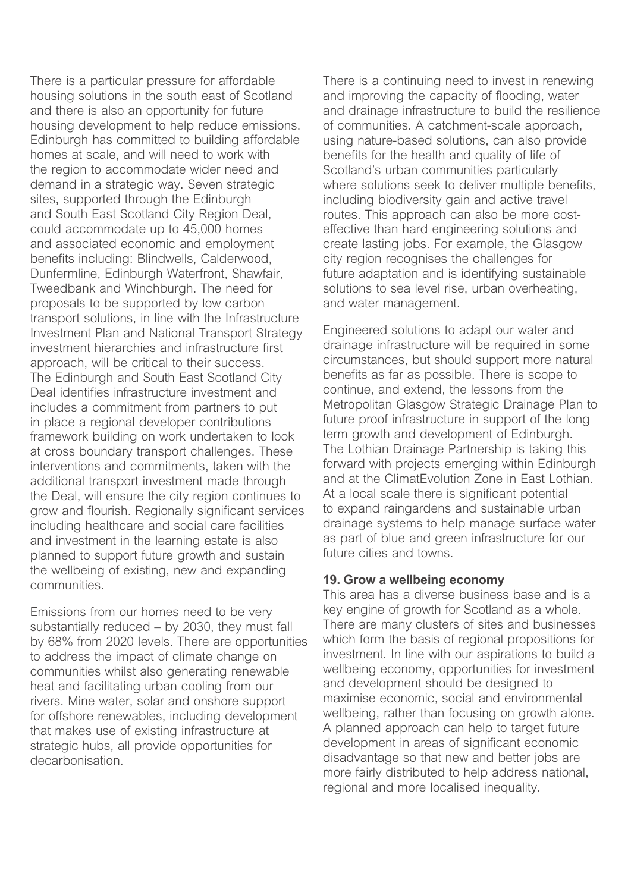*There is a particular pressure for affordable housing solutions in the south east of Scotland and there is also an opportunity for future housing development to help reduce emissions. Edinburgh has committed to building affordable homes at scale, and will need to work with the region to accommodate wider need and demand in a strategic way. Seven strategic sites, supported through the Edinburgh and South East Scotland City Region Deal, could accommodate up to 45,000 homes and associated economic and employment benefits including: Blindwells, Calderwood, Dunfermline, Edinburgh Waterfront, Shawfair, Tweedbank and Winchburgh. The need for proposals to be supported by low carbon transport solutions, in line with the Infrastructure Investment Plan and National Transport Strategy investment hierarchies and infrastructure first approach, will be critical to their success. The Edinburgh and South East Scotland City Deal identifies infrastructure investment and includes a commitment from partners to put in place a regional developer contributions framework building on work undertaken to look at cross boundary transport challenges. These interventions and commitments, taken with the additional transport investment made through the Deal, will ensure the city region continues to grow and flourish. Regionally significant services including healthcare and social care facilities and investment in the learning estate is also planned to support future growth and sustain the wellbeing of existing, new and expanding communities.*

*Emissions from our homes need to be very substantially reduced – by 2030, they must fall by 68% from 2020 levels. There are opportunities to address the impact of climate change on communities whilst also generating renewable heat and facilitating urban cooling from our rivers. Mine water, solar and onshore support for offshore renewables, including development that makes use of existing infrastructure at strategic hubs, all provide opportunities for decarbonisation.*

*There is a continuing need to invest in renewing and improving the capacity of flooding, water and drainage infrastructure to build the resilience of communities. A catchment-scale approach, using nature-based solutions, can also provide benefits for the health and quality of life of Scotland's urban communities particularly where solutions seek to deliver multiple benefits, including biodiversity gain and active travel routes. This approach can also be more costeffective than hard engineering solutions and create lasting jobs. For example, the Glasgow city region recognises the challenges for future adaptation and is identifying sustainable solutions to sea level rise, urban overheating, and water management.*

*Engineered solutions to adapt our water and drainage infrastructure will be required in some circumstances, but should support more natural benefits as far as possible. There is scope to continue, and extend, the lessons from the Metropolitan Glasgow Strategic Drainage Plan to future proof infrastructure in support of the long term growth and development of Edinburgh. The Lothian Drainage Partnership is taking this forward with projects emerging within Edinburgh and at the ClimatEvolution Zone in East Lothian. At a local scale there is significant potential to expand raingardens and sustainable urban drainage systems to help manage surface water as part of blue and green infrastructure for our future cities and towns.*

## **19. Grow a wellbeing economy**

*This area has a diverse business base and is a key engine of growth for Scotland as a whole. There are many clusters of sites and businesses which form the basis of regional propositions for investment. In line with our aspirations to build a wellbeing economy, opportunities for investment and development should be designed to maximise economic, social and environmental wellbeing, rather than focusing on growth alone. A planned approach can help to target future development in areas of significant economic disadvantage so that new and better jobs are more fairly distributed to help address national, regional and more localised inequality.*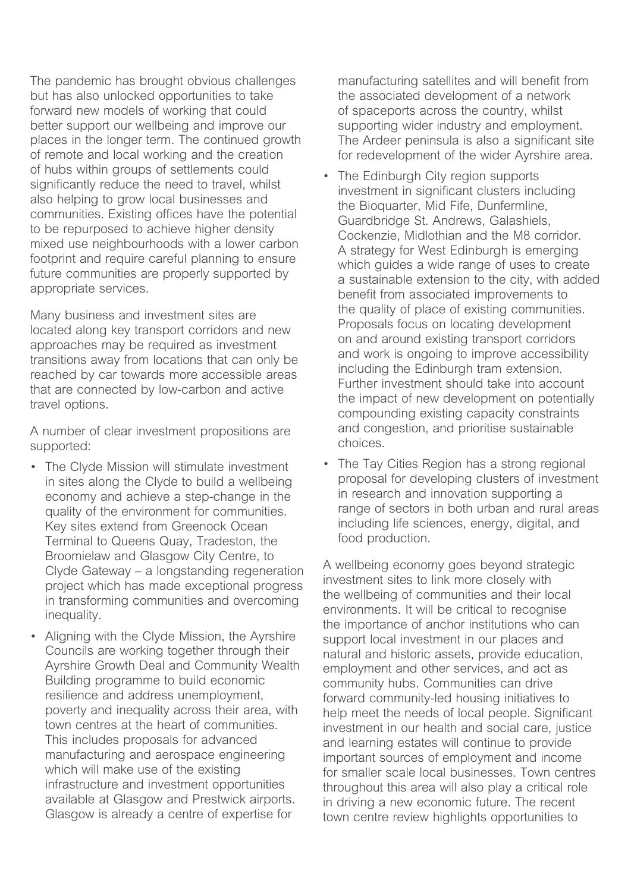*The pandemic has brought obvious challenges but has also unlocked opportunities to take forward new models of working that could better support our wellbeing and improve our places in the longer term. The continued growth of remote and local working and the creation of hubs within groups of settlements could significantly reduce the need to travel, whilst also helping to grow local businesses and communities. Existing offices have the potential to be repurposed to achieve higher density mixed use neighbourhoods with a lower carbon footprint and require careful planning to ensure future communities are properly supported by appropriate services.*

*Many business and investment sites are located along key transport corridors and new approaches may be required as investment transitions away from locations that can only be reached by car towards more accessible areas that are connected by low-carbon and active travel options.*

*A number of clear investment propositions are supported:*

- *• The Clyde Mission will stimulate investment in sites along the Clyde to build a wellbeing economy and achieve a step-change in the quality of the environment for communities. Key sites extend from Greenock Ocean Terminal to Queens Quay, Tradeston, the Broomielaw and Glasgow City Centre, to Clyde Gateway – a longstanding regeneration project which has made exceptional progress in transforming communities and overcoming inequality.*
- *• Aligning with the Clyde Mission, the Ayrshire Councils are working together through their Ayrshire Growth Deal and Community Wealth Building programme to build economic resilience and address unemployment, poverty and inequality across their area, with town centres at the heart of communities. This includes proposals for advanced manufacturing and aerospace engineering which will make use of the existing infrastructure and investment opportunities available at Glasgow and Prestwick airports. Glasgow is already a centre of expertise for*

*manufacturing satellites and will benefit from the associated development of a network of spaceports across the country, whilst supporting wider industry and employment. The Ardeer peninsula is also a significant site for redevelopment of the wider Ayrshire area.*

- *• The Edinburgh City region supports investment in significant clusters including the Bioquarter, Mid Fife, Dunfermline, Guardbridge St. Andrews, Galashiels, Cockenzie, Midlothian and the M8 corridor. A strategy for West Edinburgh is emerging which guides a wide range of uses to create a sustainable extension to the city, with added benefit from associated improvements to the quality of place of existing communities. Proposals focus on locating development on and around existing transport corridors and work is ongoing to improve accessibility including the Edinburgh tram extension. Further investment should take into account the impact of new development on potentially compounding existing capacity constraints and congestion, and prioritise sustainable choices.*
- *• The Tay Cities Region has a strong regional proposal for developing clusters of investment in research and innovation supporting a range of sectors in both urban and rural areas including life sciences, energy, digital, and food production.*

*A wellbeing economy goes beyond strategic investment sites to link more closely with the wellbeing of communities and their local environments. It will be critical to recognise the importance of anchor institutions who can support local investment in our places and natural and historic assets, provide education, employment and other services, and act as community hubs. Communities can drive forward community-led housing initiatives to help meet the needs of local people. Significant investment in our health and social care, justice and learning estates will continue to provide important sources of employment and income for smaller scale local businesses. Town centres throughout this area will also play a critical role in driving a new economic future. The recent town centre review highlights opportunities to*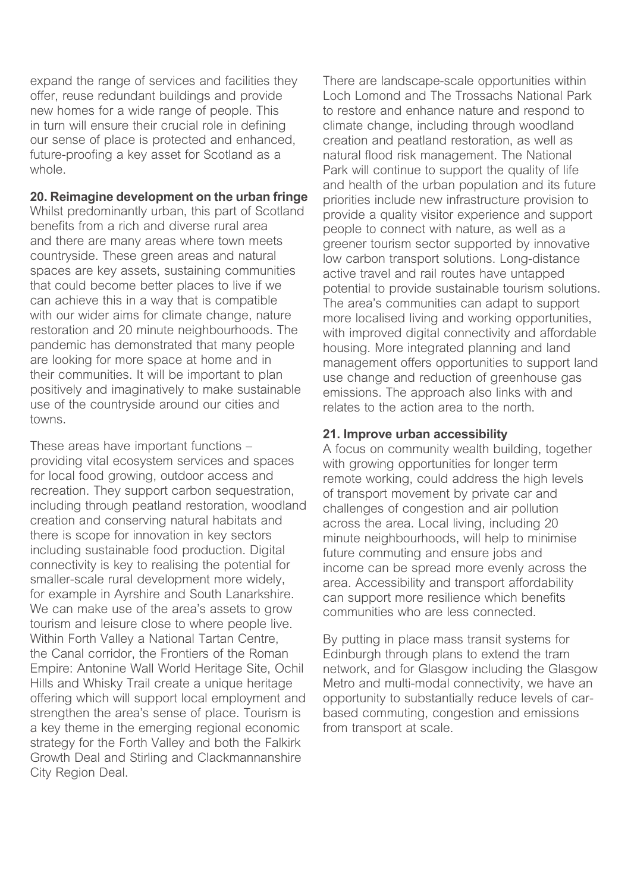*expand the range of services and facilities they offer, reuse redundant buildings and provide new homes for a wide range of people. This in turn will ensure their crucial role in defining our sense of place is protected and enhanced, future-proofing a key asset for Scotland as a whole.*

## **20. Reimagine development on the urban fringe**

*Whilst predominantly urban, this part of Scotland benefits from a rich and diverse rural area and there are many areas where town meets countryside. These green areas and natural spaces are key assets, sustaining communities that could become better places to live if we can achieve this in a way that is compatible with our wider aims for climate change, nature restoration and 20 minute neighbourhoods. The pandemic has demonstrated that many people are looking for more space at home and in their communities. It will be important to plan positively and imaginatively to make sustainable use of the countryside around our cities and towns.*

*These areas have important functions – providing vital ecosystem services and spaces for local food growing, outdoor access and recreation. They support carbon sequestration, including through peatland restoration, woodland creation and conserving natural habitats and there is scope for innovation in key sectors including sustainable food production. Digital connectivity is key to realising the potential for smaller-scale rural development more widely, for example in Ayrshire and South Lanarkshire. We can make use of the area's assets to grow tourism and leisure close to where people live. Within Forth Valley a National Tartan Centre, the Canal corridor, the Frontiers of the Roman Empire: Antonine Wall World Heritage Site, Ochil Hills and Whisky Trail create a unique heritage offering which will support local employment and strengthen the area's sense of place. Tourism is a key theme in the emerging regional economic strategy for the Forth Valley and both the Falkirk Growth Deal and Stirling and Clackmannanshire City Region Deal.*

*There are landscape-scale opportunities within Loch Lomond and The Trossachs National Park to restore and enhance nature and respond to climate change, including through woodland creation and peatland restoration, as well as natural flood risk management. The National Park will continue to support the quality of life and health of the urban population and its future priorities include new infrastructure provision to provide a quality visitor experience and support people to connect with nature, as well as a greener tourism sector supported by innovative low carbon transport solutions. Long-distance active travel and rail routes have untapped potential to provide sustainable tourism solutions. The area's communities can adapt to support more localised living and working opportunities, with improved digital connectivity and affordable housing. More integrated planning and land management offers opportunities to support land use change and reduction of greenhouse gas emissions. The approach also links with and relates to the action area to the north.*

## **21. Improve urban accessibility**

*A focus on community wealth building, together with growing opportunities for longer term remote working, could address the high levels of transport movement by private car and challenges of congestion and air pollution across the area. Local living, including 20 minute neighbourhoods, will help to minimise future commuting and ensure jobs and income can be spread more evenly across the area. Accessibility and transport affordability can support more resilience which benefits communities who are less connected.*

*By putting in place mass transit systems for Edinburgh through plans to extend the tram network, and for Glasgow including the Glasgow Metro and multi-modal connectivity, we have an opportunity to substantially reduce levels of carbased commuting, congestion and emissions from transport at scale.*